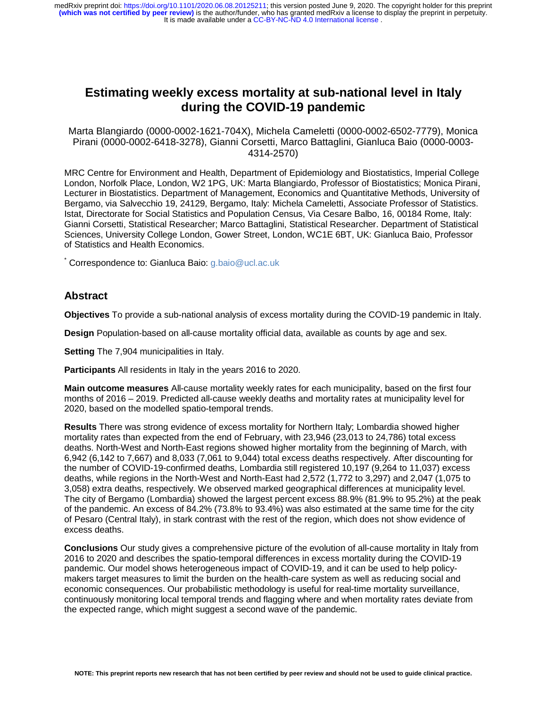# **Estimating weekly excess mortality at sub-national level in Italy during the COVID-19 pandemic**

Marta Blangiardo (0000-0002-1621-704X), Michela Cameletti (0000-0002-6502-7779), Monica Pirani (0000-0002-6418-3278), Gianni Corsetti, Marco Battaglini, Gianluca Baio (0000-0003- 4314-2570)

MRC Centre for Environment and Health, Department of Epidemiology and Biostatistics, Imperial College London, Norfolk Place, London, W2 1PG, UK: Marta Blangiardo, Professor of Biostatistics; Monica Pirani, Lecturer in Biostatistics. Department of Management, Economics and Quantitative Methods, University of Bergamo, via Salvecchio 19, 24129, Bergamo, Italy: Michela Cameletti, Associate Professor of Statistics. Istat, Directorate for Social Statistics and Population Census, Via Cesare Balbo, 16, 00184 Rome, Italy: Gianni Corsetti, Statistical Researcher; Marco Battaglini, Statistical Researcher. Department of Statistical Sciences, University College London, Gower Street, London, WC1E 6BT, UK: Gianluca Baio, Professor of Statistics and Health Economics.

\* Correspondence to: Gianluca Baio: g.baio@ucl.ac.uk

#### **Abstract**

**Objectives** To provide a sub-national analysis of excess mortality during the COVID-19 pandemic in Italy.

**Design** Population-based on all-cause mortality official data, available as counts by age and sex.

**Setting** The 7,904 municipalities in Italy.

**Participants** All residents in Italy in the years 2016 to 2020.

**Main outcome measures** All-cause mortality weekly rates for each municipality, based on the first four months of 2016 – 2019. Predicted all-cause weekly deaths and mortality rates at municipality level for 2020, based on the modelled spatio-temporal trends.

**Results** There was strong evidence of excess mortality for Northern Italy; Lombardia showed higher mortality rates than expected from the end of February, with 23,946 (23,013 to 24,786) total excess deaths. North-West and North-East regions showed higher mortality from the beginning of March, with 6,942 (6,142 to 7,667) and 8,033 (7,061 to 9,044) total excess deaths respectively. After discounting for the number of COVID-19-confirmed deaths, Lombardia still registered 10,197 (9,264 to 11,037) excess deaths, while regions in the North-West and North-East had 2,572 (1,772 to 3,297) and 2,047 (1,075 to 3,058) extra deaths, respectively. We observed marked geographical differences at municipality level. The city of Bergamo (Lombardia) showed the largest percent excess 88.9% (81.9% to 95.2%) at the peak of the pandemic. An excess of 84.2% (73.8% to 93.4%) was also estimated at the same time for the city of Pesaro (Central Italy), in stark contrast with the rest of the region, which does not show evidence of excess deaths.

**Conclusions** Our study gives a comprehensive picture of the evolution of all-cause mortality in Italy from 2016 to 2020 and describes the spatio-temporal differences in excess mortality during the COVID-19 pandemic. Our model shows heterogeneous impact of COVID-19, and it can be used to help policymakers target measures to limit the burden on the health-care system as well as reducing social and economic consequences. Our probabilistic methodology is useful for real-time mortality surveillance, continuously monitoring local temporal trends and flagging where and when mortality rates deviate from the expected range, which might suggest a second wave of the pandemic.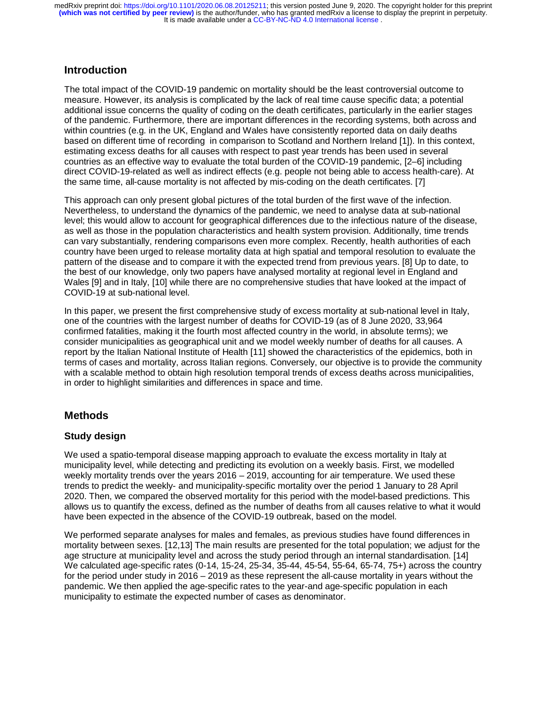# **Introduction**

The total impact of the COVID-19 pandemic on mortality should be the least controversial outcome to measure. However, its analysis is complicated by the lack of real time cause specific data; a potential additional issue concerns the quality of coding on the death certificates, particularly in the earlier stages of the pandemic. Furthermore, there are important differences in the recording systems, both across and within countries (e.g. in the UK, England and Wales have consistently reported data on daily deaths based on different time of recording in comparison to Scotland and Northern Ireland [1]). In this context, estimating excess deaths for all causes with respect to past year trends has been used in several countries as an effective way to evaluate the total burden of the COVID-19 pandemic, [2–6] including direct COVID-19-related as well as indirect effects (e.g. people not being able to access health-care). At the same time, all-cause mortality is not affected by mis-coding on the death certificates. [7]

This approach can only present global pictures of the total burden of the first wave of the infection. Nevertheless, to understand the dynamics of the pandemic, we need to analyse data at sub-national level; this would allow to account for geographical differences due to the infectious nature of the disease, as well as those in the population characteristics and health system provision. Additionally, time trends can vary substantially, rendering comparisons even more complex. Recently, health authorities of each country have been urged to release mortality data at high spatial and temporal resolution to evaluate the pattern of the disease and to compare it with the expected trend from previous years. [8] Up to date, to the best of our knowledge, only two papers have analysed mortality at regional level in England and Wales [9] and in Italy, [10] while there are no comprehensive studies that have looked at the impact of COVID-19 at sub-national level.

In this paper, we present the first comprehensive study of excess mortality at sub-national level in Italy, one of the countries with the largest number of deaths for COVID-19 (as of 8 June 2020, 33,964 confirmed fatalities, making it the fourth most affected country in the world, in absolute terms); we consider municipalities as geographical unit and we model weekly number of deaths for all causes. A report by the Italian National Institute of Health [11] showed the characteristics of the epidemics, both in terms of cases and mortality, across Italian regions. Conversely, our objective is to provide the community with a scalable method to obtain high resolution temporal trends of excess deaths across municipalities, in order to highlight similarities and differences in space and time.

# **Methods**

# **Study design**

We used a spatio-temporal disease mapping approach to evaluate the excess mortality in Italy at municipality level, while detecting and predicting its evolution on a weekly basis. First, we modelled weekly mortality trends over the years 2016 – 2019, accounting for air temperature. We used these trends to predict the weekly- and municipality-specific mortality over the period 1 January to 28 April 2020. Then, we compared the observed mortality for this period with the model-based predictions. This allows us to quantify the excess, defined as the number of deaths from all causes relative to what it would have been expected in the absence of the COVID-19 outbreak, based on the model.

We performed separate analyses for males and females, as previous studies have found differences in mortality between sexes. [12,13] The main results are presented for the total population; we adjust for the age structure at municipality level and across the study period through an internal standardisation. [14] We calculated age-specific rates (0-14, 15-24, 25-34, 35-44, 45-54, 55-64, 65-74, 75+) across the country for the period under study in 2016 – 2019 as these represent the all-cause mortality in years without the pandemic. We then applied the age-specific rates to the year-and age-specific population in each municipality to estimate the expected number of cases as denominator.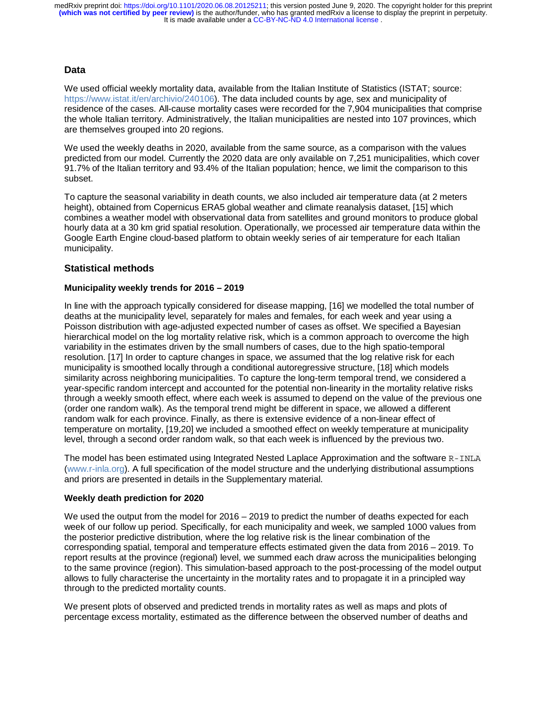### **Data**

We used official weekly mortality data, available from the Italian Institute of Statistics (ISTAT; source: https://www.istat.it/en/archivio/240106). The data included counts by age, sex and municipality of residence of the cases. All-cause mortality cases were recorded for the 7,904 municipalities that comprise the whole Italian territory. Administratively, the Italian municipalities are nested into 107 provinces, which are themselves grouped into 20 regions.

We used the weekly deaths in 2020, available from the same source, as a comparison with the values predicted from our model. Currently the 2020 data are only available on 7,251 municipalities, which cover 91.7% of the Italian territory and 93.4% of the Italian population; hence, we limit the comparison to this subset.

To capture the seasonal variability in death counts, we also included air temperature data (at 2 meters height), obtained from Copernicus ERA5 global weather and climate reanalysis dataset, [15] which combines a weather model with observational data from satellites and ground monitors to produce global hourly data at a 30 km grid spatial resolution. Operationally, we processed air temperature data within the Google Earth Engine cloud-based platform to obtain weekly series of air temperature for each Italian municipality.

### **Statistical methods**

#### **Municipality weekly trends for 2016 – 2019**

In line with the approach typically considered for disease mapping, [16] we modelled the total number of deaths at the municipality level, separately for males and females, for each week and year using a Poisson distribution with age-adjusted expected number of cases as offset. We specified a Bayesian hierarchical model on the log mortality relative risk, which is a common approach to overcome the high variability in the estimates driven by the small numbers of cases, due to the high spatio-temporal resolution. [17] In order to capture changes in space, we assumed that the log relative risk for each municipality is smoothed locally through a conditional autoregressive structure, [18] which models similarity across neighboring municipalities. To capture the long-term temporal trend, we considered a year-specific random intercept and accounted for the potential non-linearity in the mortality relative risks through a weekly smooth effect, where each week is assumed to depend on the value of the previous one (order one random walk). As the temporal trend might be different in space, we allowed a different random walk for each province. Finally, as there is extensive evidence of a non-linear effect of temperature on mortality, [19,20] we included a smoothed effect on weekly temperature at municipality level, through a second order random walk, so that each week is influenced by the previous two.

The model has been estimated using Integrated Nested Laplace Approximation and the software R-INLA (www.r-inla.org). A full specification of the model structure and the underlying distributional assumptions and priors are presented in details in the Supplementary material.

#### **Weekly death prediction for 2020**

We used the output from the model for 2016 – 2019 to predict the number of deaths expected for each week of our follow up period. Specifically, for each municipality and week, we sampled 1000 values from the posterior predictive distribution, where the log relative risk is the linear combination of the corresponding spatial, temporal and temperature effects estimated given the data from 2016 – 2019. To report results at the province (regional) level, we summed each draw across the municipalities belonging to the same province (region). This simulation-based approach to the post-processing of the model output allows to fully characterise the uncertainty in the mortality rates and to propagate it in a principled way through to the predicted mortality counts.

We present plots of observed and predicted trends in mortality rates as well as maps and plots of percentage excess mortality, estimated as the difference between the observed number of deaths and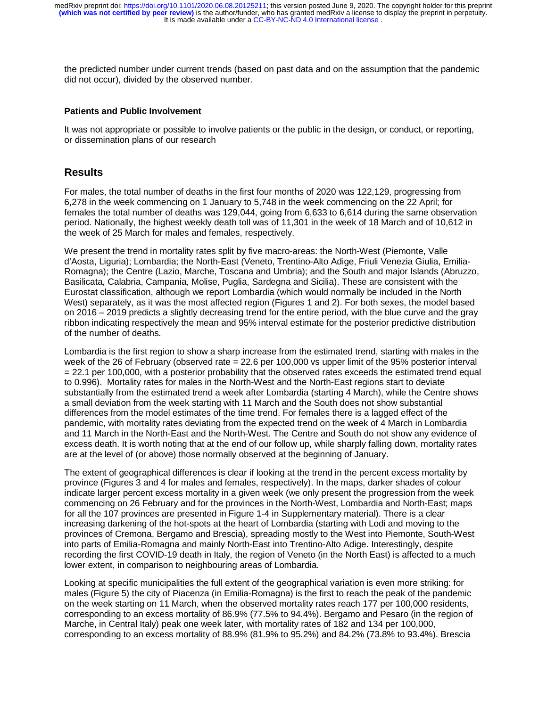the predicted number under current trends (based on past data and on the assumption that the pandemic did not occur), divided by the observed number.

#### **Patients and Public Involvement**

It was not appropriate or possible to involve patients or the public in the design, or conduct, or reporting, or dissemination plans of our research

### **Results**

For males, the total number of deaths in the first four months of 2020 was 122,129, progressing from 6,278 in the week commencing on 1 January to 5,748 in the week commencing on the 22 April; for females the total number of deaths was 129,044, going from 6,633 to 6,614 during the same observation period. Nationally, the highest weekly death toll was of 11,301 in the week of 18 March and of 10,612 in the week of 25 March for males and females, respectively.

We present the trend in mortality rates split by five macro-areas: the North-West (Piemonte, Valle d'Aosta, Liguria); Lombardia; the North-East (Veneto, Trentino-Alto Adige, Friuli Venezia Giulia, Emilia-Romagna); the Centre (Lazio, Marche, Toscana and Umbria); and the South and major Islands (Abruzzo, Basilicata, Calabria, Campania, Molise, Puglia, Sardegna and Sicilia). These are consistent with the Eurostat classification, although we report Lombardia (which would normally be included in the North West) separately, as it was the most affected region (Figures 1 and 2). For both sexes, the model based on 2016 – 2019 predicts a slightly decreasing trend for the entire period, with the blue curve and the gray ribbon indicating respectively the mean and 95% interval estimate for the posterior predictive distribution of the number of deaths.

Lombardia is the first region to show a sharp increase from the estimated trend, starting with males in the week of the 26 of February (observed rate = 22.6 per 100,000 vs upper limit of the 95% posterior interval = 22.1 per 100,000, with a posterior probability that the observed rates exceeds the estimated trend equal to 0.996). Mortality rates for males in the North-West and the North-East regions start to deviate substantially from the estimated trend a week after Lombardia (starting 4 March), while the Centre shows a small deviation from the week starting with 11 March and the South does not show substantial differences from the model estimates of the time trend. For females there is a lagged effect of the pandemic, with mortality rates deviating from the expected trend on the week of 4 March in Lombardia and 11 March in the North-East and the North-West. The Centre and South do not show any evidence of excess death. It is worth noting that at the end of our follow up, while sharply falling down, mortality rates are at the level of (or above) those normally observed at the beginning of January.

The extent of geographical differences is clear if looking at the trend in the percent excess mortality by province (Figures 3 and 4 for males and females, respectively). In the maps, darker shades of colour indicate larger percent excess mortality in a given week (we only present the progression from the week commencing on 26 February and for the provinces in the North-West, Lombardia and North-East; maps for all the 107 provinces are presented in Figure 1-4 in Supplementary material). There is a clear increasing darkening of the hot-spots at the heart of Lombardia (starting with Lodi and moving to the provinces of Cremona, Bergamo and Brescia), spreading mostly to the West into Piemonte, South-West into parts of Emilia-Romagna and mainly North-East into Trentino-Alto Adige. Interestingly, despite recording the first COVID-19 death in Italy, the region of Veneto (in the North East) is affected to a much lower extent, in comparison to neighbouring areas of Lombardia.

Looking at specific municipalities the full extent of the geographical variation is even more striking: for males (Figure 5) the city of Piacenza (in Emilia-Romagna) is the first to reach the peak of the pandemic on the week starting on 11 March, when the observed mortality rates reach 177 per 100,000 residents, corresponding to an excess mortality of 86.9% (77.5% to 94.4%). Bergamo and Pesaro (in the region of Marche, in Central Italy) peak one week later, with mortality rates of 182 and 134 per 100,000, corresponding to an excess mortality of 88.9% (81.9% to 95.2%) and 84.2% (73.8% to 93.4%). Brescia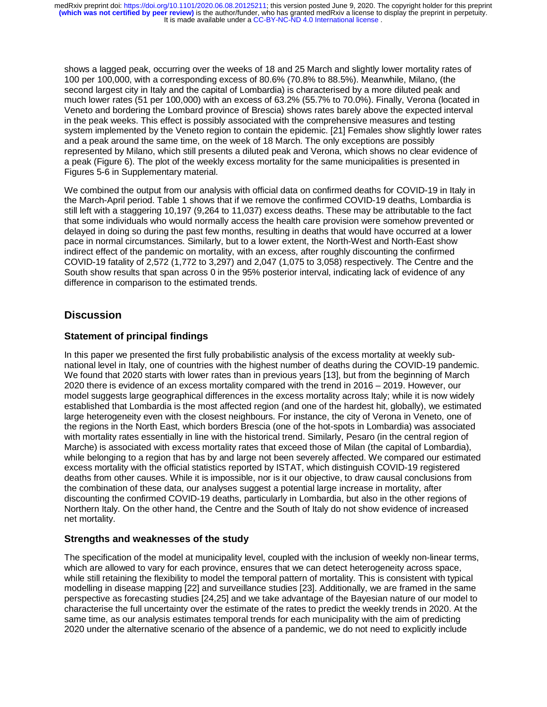shows a lagged peak, occurring over the weeks of 18 and 25 March and slightly lower mortality rates of 100 per 100,000, with a corresponding excess of 80.6% (70.8% to 88.5%). Meanwhile, Milano, (the second largest city in Italy and the capital of Lombardia) is characterised by a more diluted peak and much lower rates (51 per 100,000) with an excess of 63.2% (55.7% to 70.0%). Finally, Verona (located in Veneto and bordering the Lombard province of Brescia) shows rates barely above the expected interval in the peak weeks. This effect is possibly associated with the comprehensive measures and testing system implemented by the Veneto region to contain the epidemic. [21] Females show slightly lower rates and a peak around the same time, on the week of 18 March. The only exceptions are possibly represented by Milano, which still presents a diluted peak and Verona, which shows no clear evidence of a peak (Figure 6). The plot of the weekly excess mortality for the same municipalities is presented in Figures 5-6 in Supplementary material.

We combined the output from our analysis with official data on confirmed deaths for COVID-19 in Italy in the March-April period. Table 1 shows that if we remove the confirmed COVID-19 deaths, Lombardia is still left with a staggering 10,197 (9,264 to 11,037) excess deaths. These may be attributable to the fact that some individuals who would normally access the health care provision were somehow prevented or delayed in doing so during the past few months, resulting in deaths that would have occurred at a lower pace in normal circumstances. Similarly, but to a lower extent, the North-West and North-East show indirect effect of the pandemic on mortality, with an excess, after roughly discounting the confirmed COVID-19 fatality of 2,572 (1,772 to 3,297) and 2,047 (1,075 to 3,058) respectively. The Centre and the South show results that span across 0 in the 95% posterior interval, indicating lack of evidence of any difference in comparison to the estimated trends.

# **Discussion**

# **Statement of principal findings**

In this paper we presented the first fully probabilistic analysis of the excess mortality at weekly subnational level in Italy, one of countries with the highest number of deaths during the COVID-19 pandemic. We found that 2020 starts with lower rates than in previous years [13], but from the beginning of March 2020 there is evidence of an excess mortality compared with the trend in 2016 – 2019. However, our model suggests large geographical differences in the excess mortality across Italy; while it is now widely established that Lombardia is the most affected region (and one of the hardest hit, globally), we estimated large heterogeneity even with the closest neighbours. For instance, the city of Verona in Veneto, one of the regions in the North East, which borders Brescia (one of the hot-spots in Lombardia) was associated with mortality rates essentially in line with the historical trend. Similarly, Pesaro (in the central region of Marche) is associated with excess mortality rates that exceed those of Milan (the capital of Lombardia), while belonging to a region that has by and large not been severely affected. We compared our estimated excess mortality with the official statistics reported by ISTAT, which distinguish COVID-19 registered deaths from other causes. While it is impossible, nor is it our objective, to draw causal conclusions from the combination of these data, our analyses suggest a potential large increase in mortality, after discounting the confirmed COVID-19 deaths, particularly in Lombardia, but also in the other regions of Northern Italy. On the other hand, the Centre and the South of Italy do not show evidence of increased net mortality.

### **Strengths and weaknesses of the study**

The specification of the model at municipality level, coupled with the inclusion of weekly non-linear terms, which are allowed to vary for each province, ensures that we can detect heterogeneity across space, while still retaining the flexibility to model the temporal pattern of mortality. This is consistent with typical modelling in disease mapping [22] and surveillance studies [23]. Additionally, we are framed in the same perspective as forecasting studies [24,25] and we take advantage of the Bayesian nature of our model to characterise the full uncertainty over the estimate of the rates to predict the weekly trends in 2020. At the same time, as our analysis estimates temporal trends for each municipality with the aim of predicting 2020 under the alternative scenario of the absence of a pandemic, we do not need to explicitly include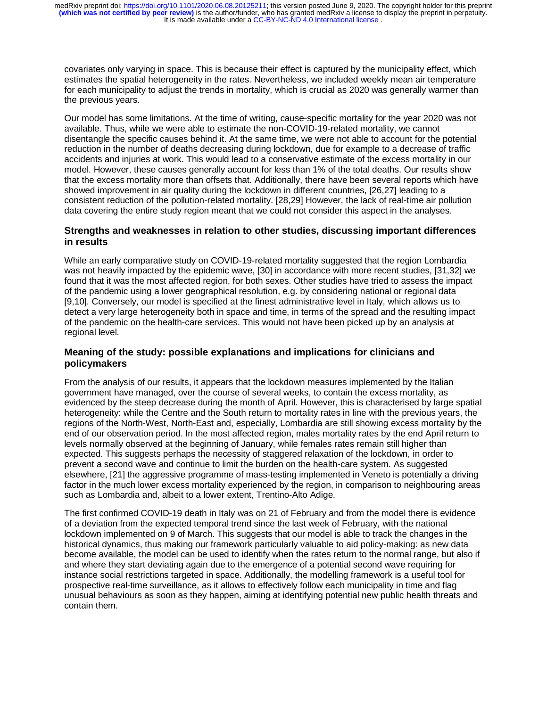covariates only varying in space. This is because their effect is captured by the municipality effect, which estimates the spatial heterogeneity in the rates. Nevertheless, we included weekly mean air temperature for each municipality to adjust the trends in mortality, which is crucial as 2020 was generally warmer than the previous years.

Our model has some limitations. At the time of writing, cause-specific mortality for the year 2020 was not available. Thus, while we were able to estimate the non-COVID-19-related mortality, we cannot disentangle the specific causes behind it. At the same time, we were not able to account for the potential reduction in the number of deaths decreasing during lockdown, due for example to a decrease of traffic accidents and injuries at work. This would lead to a conservative estimate of the excess mortality in our model. However, these causes generally account for less than 1% of the total deaths. Our results show that the excess mortality more than offsets that. Additionally, there have been several reports which have showed improvement in air quality during the lockdown in different countries, [26,27] leading to a consistent reduction of the pollution-related mortality. [28,29] However, the lack of real-time air pollution data covering the entire study region meant that we could not consider this aspect in the analyses.

# **Strengths and weaknesses in relation to other studies, discussing important differences in results**

While an early comparative study on COVID-19-related mortality suggested that the region Lombardia was not heavily impacted by the epidemic wave, [30] in accordance with more recent studies, [31,32] we found that it was the most affected region, for both sexes. Other studies have tried to assess the impact of the pandemic using a lower geographical resolution, e.g. by considering national or regional data [9,10]. Conversely, our model is specified at the finest administrative level in Italy, which allows us to detect a very large heterogeneity both in space and time, in terms of the spread and the resulting impact of the pandemic on the health-care services. This would not have been picked up by an analysis at regional level.

# **Meaning of the study: possible explanations and implications for clinicians and policymakers**

From the analysis of our results, it appears that the lockdown measures implemented by the Italian government have managed, over the course of several weeks, to contain the excess mortality, as evidenced by the steep decrease during the month of April. However, this is characterised by large spatial heterogeneity: while the Centre and the South return to mortality rates in line with the previous years, the regions of the North-West, North-East and, especially, Lombardia are still showing excess mortality by the end of our observation period. In the most affected region, males mortality rates by the end April return to levels normally observed at the beginning of January, while females rates remain still higher than expected. This suggests perhaps the necessity of staggered relaxation of the lockdown, in order to prevent a second wave and continue to limit the burden on the health-care system. As suggested elsewhere, [21] the aggressive programme of mass-testing implemented in Veneto is potentially a driving factor in the much lower excess mortality experienced by the region, in comparison to neighbouring areas such as Lombardia and, albeit to a lower extent, Trentino-Alto Adige.

The first confirmed COVID-19 death in Italy was on 21 of February and from the model there is evidence of a deviation from the expected temporal trend since the last week of February, with the national lockdown implemented on 9 of March. This suggests that our model is able to track the changes in the historical dynamics, thus making our framework particularly valuable to aid policy-making: as new data become available, the model can be used to identify when the rates return to the normal range, but also if and where they start deviating again due to the emergence of a potential second wave requiring for instance social restrictions targeted in space. Additionally, the modelling framework is a useful tool for prospective real-time surveillance, as it allows to effectively follow each municipality in time and flag unusual behaviours as soon as they happen, aiming at identifying potential new public health threats and contain them.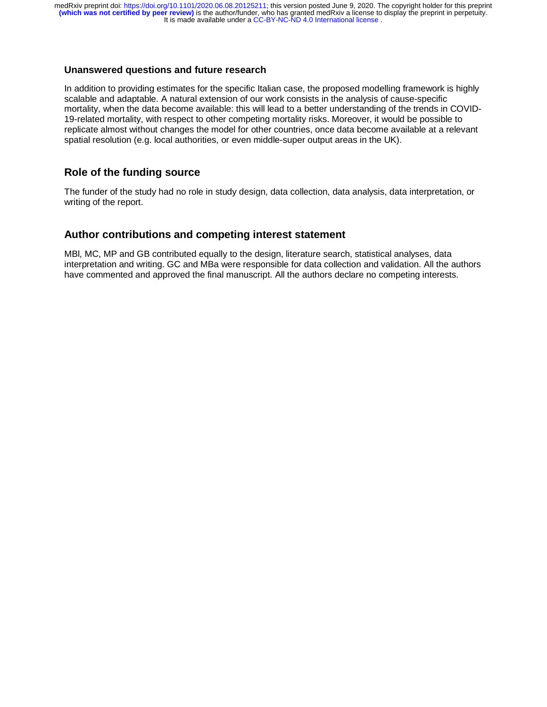#### **Unanswered questions and future research**

In addition to providing estimates for the specific Italian case, the proposed modelling framework is highly scalable and adaptable. A natural extension of our work consists in the analysis of cause-specific mortality, when the data become available: this will lead to a better understanding of the trends in COVID-19-related mortality, with respect to other competing mortality risks. Moreover, it would be possible to replicate almost without changes the model for other countries, once data become available at a relevant spatial resolution (e.g. local authorities, or even middle-super output areas in the UK).

# **Role of the funding source**

The funder of the study had no role in study design, data collection, data analysis, data interpretation, or writing of the report.

# **Author contributions and competing interest statement**

MBl, MC, MP and GB contributed equally to the design, literature search, statistical analyses, data interpretation and writing. GC and MBa were responsible for data collection and validation. All the authors have commented and approved the final manuscript. All the authors declare no competing interests.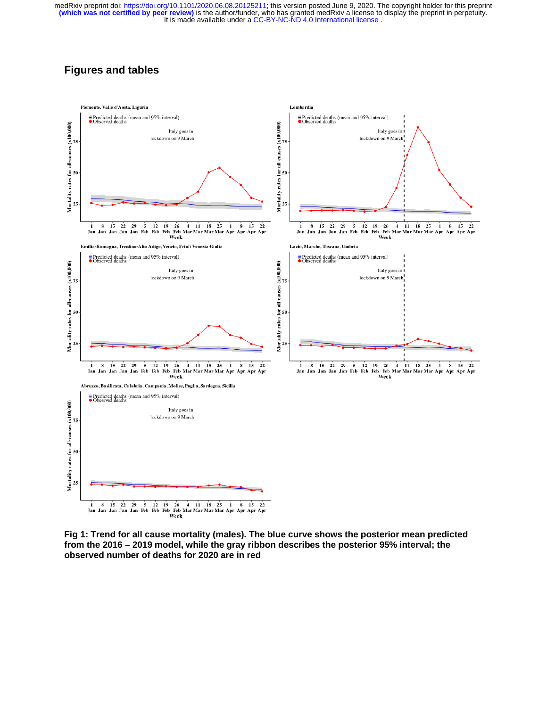# **Figures and tables**



**Fig 1: Trend for all cause mortality (males). The blue curve shows the posterior mean predicted from the 2016 – 2019 model, while the gray ribbon describes the posterior 95% interval; the observed number of deaths for 2020 are in red**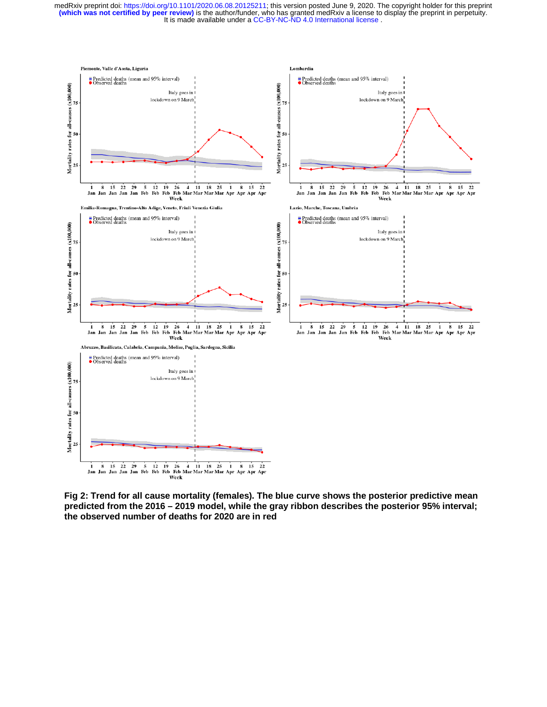

**Fig 2: Trend for all cause mortality (females). The blue curve shows the posterior predictive mean predicted from the 2016 – 2019 model, while the gray ribbon describes the posterior 95% interval; the observed number of deaths for 2020 are in red**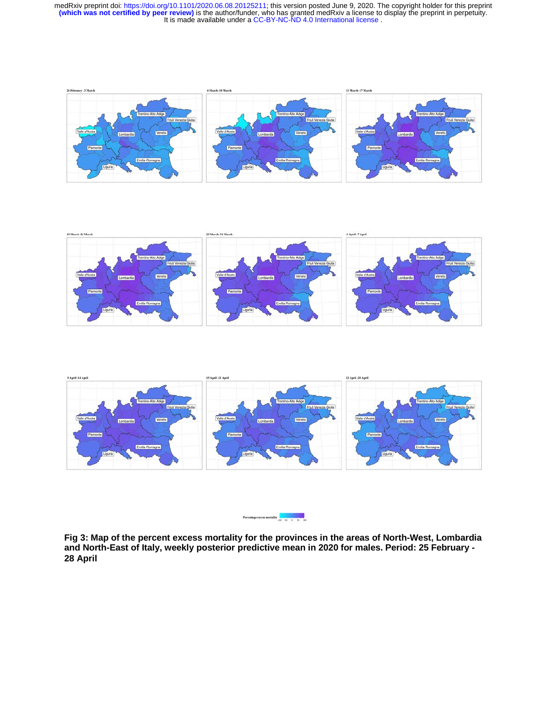







**Fig 3: Map of the percent excess mortality for the provinces in the areas of North-West, Lombardia and North-East of Italy, weekly posterior predictive mean in 2020 for males. Period: 25 February - 28 April**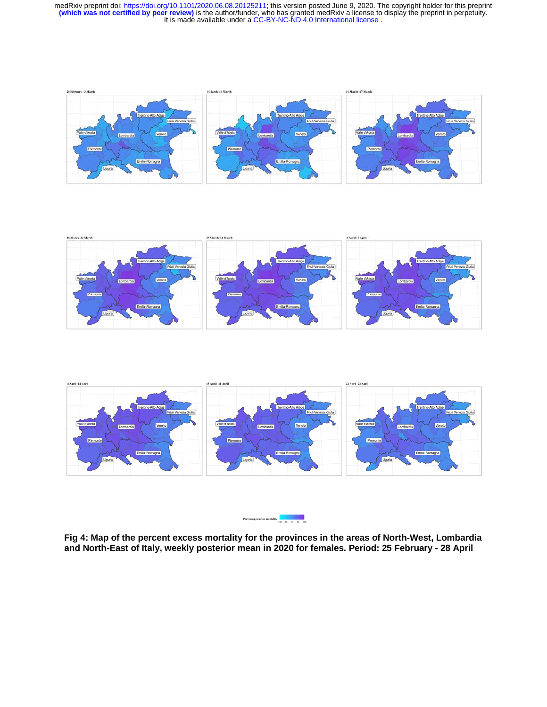







**Fig 4: Map of the percent excess mortality for the provinces in the areas of North-West, Lombardia and North-East of Italy, weekly posterior mean in 2020 for females. Period: 25 February - 28 April**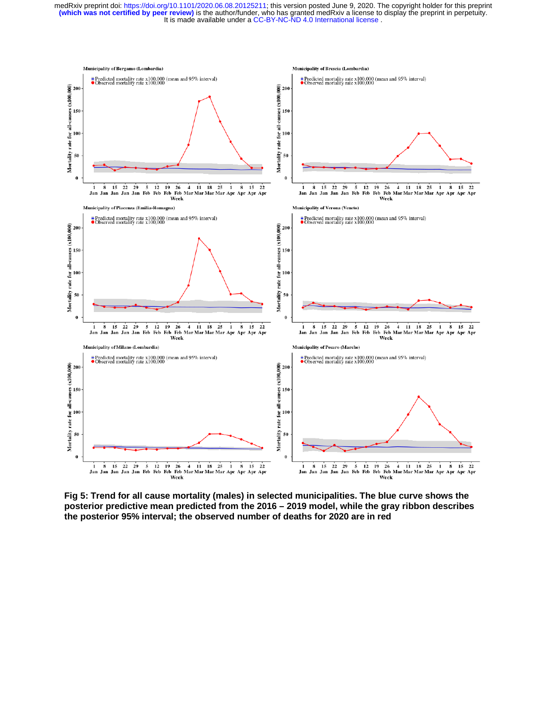

**Fig 5: Trend for all cause mortality (males) in selected municipalities. The blue curve shows the posterior predictive mean predicted from the 2016 – 2019 model, while the gray ribbon describes the posterior 95% interval; the observed number of deaths for 2020 are in red**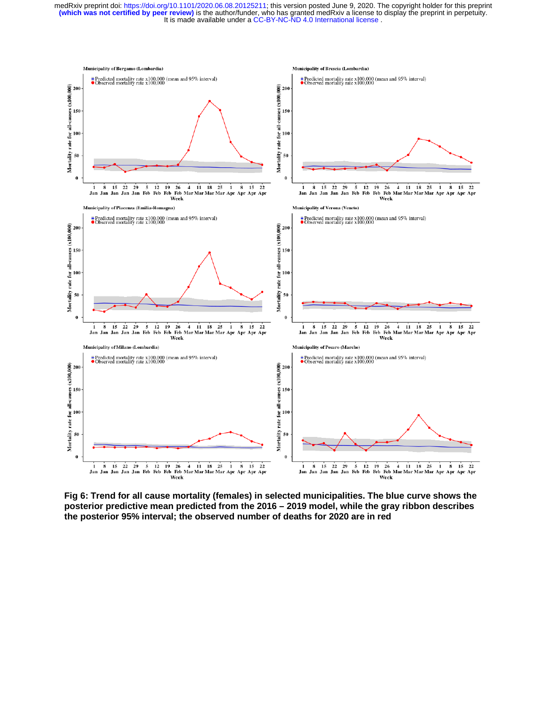

**Fig 6: Trend for all cause mortality (females) in selected municipalities. The blue curve shows the posterior predictive mean predicted from the 2016 – 2019 model, while the gray ribbon describes the posterior 95% interval; the observed number of deaths for 2020 are in red**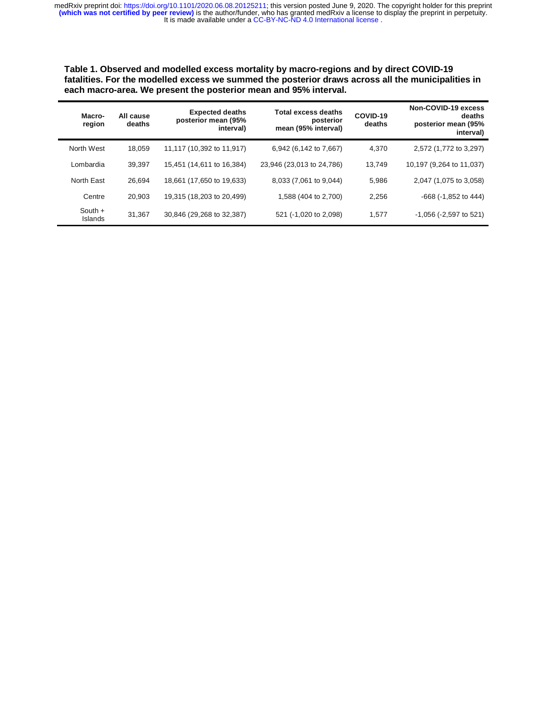**Table 1. Observed and modelled excess mortality by macro-regions and by direct COVID-19 fatalities. For the modelled excess we summed the posterior draws across all the municipalities in each macro-area. We present the posterior mean and 95% interval.** 

| Macro-<br>region            | All cause<br>deaths | <b>Expected deaths</b><br>posterior mean (95%<br>interval) | <b>Total excess deaths</b><br>posterior<br>mean (95% interval) | COVID-19<br>deaths | Non-COVID-19 excess<br>deaths<br>posterior mean (95%<br>interval) |
|-----------------------------|---------------------|------------------------------------------------------------|----------------------------------------------------------------|--------------------|-------------------------------------------------------------------|
| North West                  | 18.059              | 11,117 (10,392 to 11,917)                                  | 6,942 (6,142 to 7,667)                                         | 4.370              | 2,572 (1,772 to 3,297)                                            |
| Lombardia                   | 39.397              | 15,451 (14,611 to 16,384)                                  | 23,946 (23,013 to 24,786)                                      | 13.749             | 10,197 (9,264 to 11,037)                                          |
| North East                  | 26.694              | 18,661 (17,650 to 19,633)                                  | 8,033 (7,061 to 9,044)                                         | 5,986              | 2,047 (1,075 to 3,058)                                            |
| Centre                      | 20.903              | 19,315 (18,203 to 20,499)                                  | 1,588 (404 to 2,700)                                           | 2,256              | $-668$ ( $-1,852$ to 444)                                         |
| South $+$<br><b>Islands</b> | 31,367              | 30,846 (29,268 to 32,387)                                  | 521 (-1,020 to 2,098)                                          | 1,577              | $-1,056$ ( $-2,597$ to 521)                                       |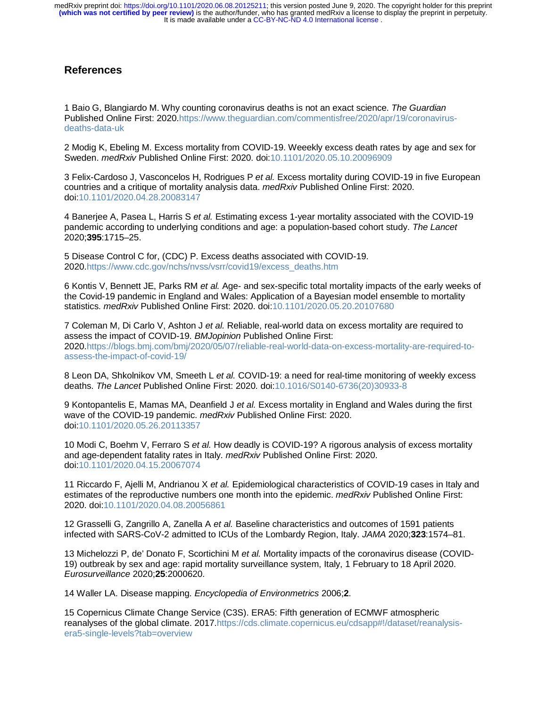# **References**

1 Baio G, Blangiardo M. Why counting coronavirus deaths is not an exact science. *The Guardian* Published Online First: 2020.https://www.theguardian.com/commentisfree/2020/apr/19/coronavirusdeaths-data-uk

2 Modig K, Ebeling M. Excess mortality from COVID-19. Weeekly excess death rates by age and sex for Sweden. *medRxiv* Published Online First: 2020. doi:10.1101/2020.05.10.20096909

3 Felix-Cardoso J, Vasconcelos H, Rodrigues P *et al.* Excess mortality during COVID-19 in five European countries and a critique of mortality analysis data. *medRxiv* Published Online First: 2020. doi:10.1101/2020.04.28.20083147

4 Banerjee A, Pasea L, Harris S *et al.* Estimating excess 1-year mortality associated with the COVID-19 pandemic according to underlying conditions and age: a population-based cohort study. *The Lancet* 2020;**395**:1715–25.

5 Disease Control C for, (CDC) P. Excess deaths associated with COVID-19. 2020.https://www.cdc.gov/nchs/nvss/vsrr/covid19/excess\_deaths.htm

6 Kontis V, Bennett JE, Parks RM *et al.* Age- and sex-specific total mortality impacts of the early weeks of the Covid-19 pandemic in England and Wales: Application of a Bayesian model ensemble to mortality statistics. *medRxiv* Published Online First: 2020. doi:10.1101/2020.05.20.20107680

7 Coleman M, Di Carlo V, Ashton J *et al.* Reliable, real-world data on excess mortality are required to assess the impact of COVID-19. *BMJopinion* Published Online First: 2020.https://blogs.bmj.com/bmj/2020/05/07/reliable-real-world-data-on-excess-mortality-are-required-toassess-the-impact-of-covid-19/

8 Leon DA, Shkolnikov VM, Smeeth L *et al.* COVID-19: a need for real-time monitoring of weekly excess deaths. *The Lancet* Published Online First: 2020. doi:10.1016/S0140-6736(20)30933-8

9 Kontopantelis E, Mamas MA, Deanfield J *et al.* Excess mortality in England and Wales during the first wave of the COVID-19 pandemic. *medRxiv* Published Online First: 2020. doi:10.1101/2020.05.26.20113357

10 Modi C, Boehm V, Ferraro S *et al.* How deadly is COVID-19? A rigorous analysis of excess mortality and age-dependent fatality rates in Italy. *medRxiv* Published Online First: 2020. doi:10.1101/2020.04.15.20067074

11 Riccardo F, Ajelli M, Andrianou X *et al.* Epidemiological characteristics of COVID-19 cases in Italy and estimates of the reproductive numbers one month into the epidemic. *medRxiv* Published Online First: 2020. doi:10.1101/2020.04.08.20056861

12 Grasselli G, Zangrillo A, Zanella A *et al.* Baseline characteristics and outcomes of 1591 patients infected with SARS-CoV-2 admitted to ICUs of the Lombardy Region, Italy. *JAMA* 2020;**323**:1574–81.

13 Michelozzi P, de' Donato F, Scortichini M *et al.* Mortality impacts of the coronavirus disease (COVID-19) outbreak by sex and age: rapid mortality surveillance system, Italy, 1 February to 18 April 2020. *Eurosurveillance* 2020;**25**:2000620.

14 Waller LA. Disease mapping. *Encyclopedia of Environmetrics* 2006;**2**.

15 Copernicus Climate Change Service (C3S). ERA5: Fifth generation of ECMWF atmospheric reanalyses of the global climate. 2017.https://cds.climate.copernicus.eu/cdsapp#!/dataset/reanalysisera5-single-levels?tab=overview